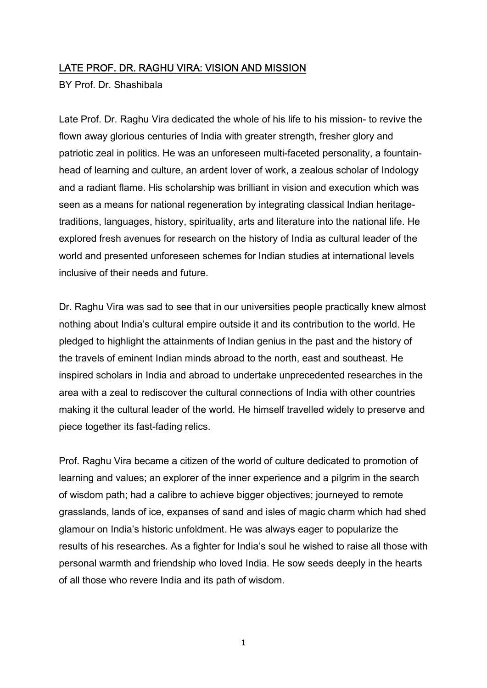# LATE PROF. DR. RAGHU VIRA: VISION AND MISSION

BY Prof. Dr. Shashibala

Late Prof. Dr. Raghu Vira dedicated the whole of his life to his mission- to revive the flown away glorious centuries of India with greater strength, fresher glory and patriotic zeal in politics. He was an unforeseen multi-faceted personality, a fountainhead of learning and culture, an ardent lover of work, a zealous scholar of Indology and a radiant flame. His scholarship was brilliant in vision and execution which was seen as a means for national regeneration by integrating classical Indian heritagetraditions, languages, history, spirituality, arts and literature into the national life. He explored fresh avenues for research on the history of India as cultural leader of the world and presented unforeseen schemes for Indian studies at international levels inclusive of their needs and future.

Dr. Raghu Vira was sad to see that in our universities people practically knew almost nothing about India's cultural empire outside it and its contribution to the world. He pledged to highlight the attainments of Indian genius in the past and the history of the travels of eminent Indian minds abroad to the north, east and southeast. He inspired scholars in India and abroad to undertake unprecedented researches in the area with a zeal to rediscover the cultural connections of India with other countries making it the cultural leader of the world. He himself travelled widely to preserve and piece together its fast-fading relics.

Prof. Raghu Vira became a citizen of the world of culture dedicated to promotion of learning and values; an explorer of the inner experience and a pilgrim in the search of wisdom path; had a calibre to achieve bigger objectives; journeyed to remote grasslands, lands of ice, expanses of sand and isles of magic charm which had shed glamour on India's historic unfoldment. He was always eager to popularize the results of his researches. As a fighter for India's soul he wished to raise all those with personal warmth and friendship who loved India. He sow seeds deeply in the hearts of all those who revere India and its path of wisdom.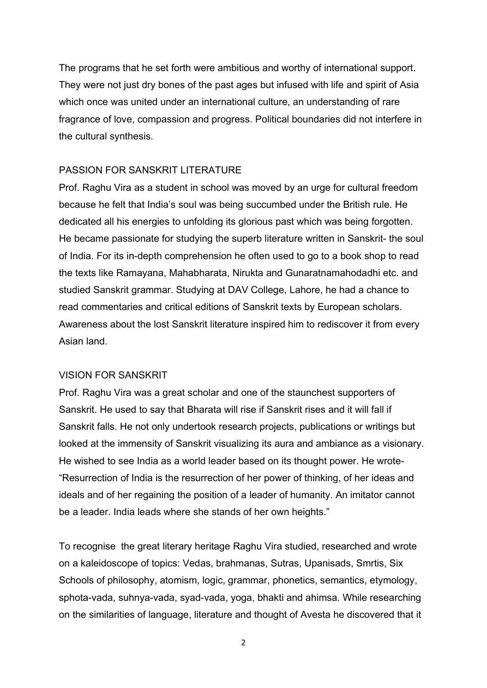The programs that he set forth were ambitious and worthy of international support. They were not just dry bones of the past ages but infused with life and spirit of Asia which once was united under an international culture, an understanding of rare fragrance of love, compassion and progress. Political boundaries did not interfere in the cultural synthesis.

# PASSION FOR SANSKRIT LITERATURE

Prof. Raghu Vira as a student in school was moved by an urge for cultural freedom because he felt that India's soul was being succumbed under the British rule. He dedicated all his energies to unfolding its glorious past which was being forgotten. He became passionate for studying the superb literature written in Sanskrit- the soul of India. For its in-depth comprehension he often used to go to a book shop to read the texts like Ramayana, Mahabharata, Nirukta and Gunaratnamahodadhi etc. and studied Sanskrit grammar. Studying at DAV College, Lahore, he had a chance to read commentaries and critical editions of Sanskrit texts by European scholars. Awareness about the lost Sanskrit literature inspired him to rediscover it from every Asian land.

#### VISION FOR SANSKRIT

Prof. Raghu Vira was a great scholar and one of the staunchest supporters of Sanskrit. He used to say that Bharata will rise if Sanskrit rises and it will fall if Sanskrit falls. He not only undertook research projects, publications or writings but looked at the immensity of Sanskrit visualizing its aura and ambiance as a visionary. He wished to see India as a world leader based on its thought power. He wrote- "Resurrection of India is the resurrection of her power of thinking, of her ideas and ideals and of her regaining the position of a leader of humanity. An imitator cannot be a leader. India leads where she stands of her own heights."

To recognise the great literary heritage Raghu Vira studied, researched and wrote on a kaleidoscope of topics: Vedas, brahmanas, Sutras, Upanisads, Smrtis, Six Schools of philosophy, atomism, logic, grammar, phonetics, semantics, etymology, sphota-vada, suhnya-vada, syad-vada, yoga, bhakti and ahimsa. While researching on the similarities of language, literature and thought of Avesta he discovered that it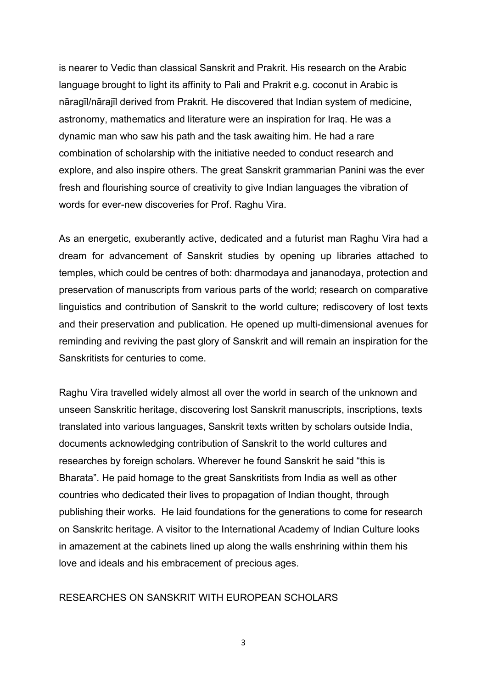is nearer to Vedic than classical Sanskrit and Prakrit. His research on the Arabic language brought to light its affinity to Pali and Prakrit e.g. coconut in Arabic is nāragīl/nārajīl derived from Prakrit. He discovered that Indian system of medicine, astronomy, mathematics and literature were an inspiration for Iraq. He was a dynamic man who saw his path and the task awaiting him. He had a rare combination of scholarship with the initiative needed to conduct research and explore, and also inspire others. The great Sanskrit grammarian Panini was the ever fresh and flourishing source of creativity to give Indian languages the vibration of words for ever-new discoveries for Prof. Raghu Vira.

As an energetic, exuberantly active, dedicated and a futurist man Raghu Vira had a dream for advancement of Sanskrit studies by opening up libraries attached to temples, which could be centres of both: dharmodaya and jananodaya, protection and preservation of manuscripts from various parts of the world; research on comparative linguistics and contribution of Sanskrit to the world culture; rediscovery of lost texts and their preservation and publication. He opened up multi-dimensional avenues for reminding and reviving the past glory of Sanskrit and will remain an inspiration for the Sanskritists for centuries to come.

Raghu Vira travelled widely almost all over the world in search of the unknown and unseen Sanskritic heritage, discovering lost Sanskrit manuscripts, inscriptions, texts translated into various languages, Sanskrit texts written by scholars outside India, documents acknowledging contribution of Sanskrit to the world cultures and researches by foreign scholars. Wherever he found Sanskrit he said "this is Bharata". He paid homage to the great Sanskritists from India as well as other countries who dedicated their lives to propagation of Indian thought, through publishing their works. He laid foundations for the generations to come for research on Sanskritc heritage. A visitor to the International Academy of Indian Culture looks in amazement at the cabinets lined up along the walls enshrining within them his love and ideals and his embracement of precious ages.

### RESEARCHES ON SANSKRIT WITH EUROPEAN SCHOLARS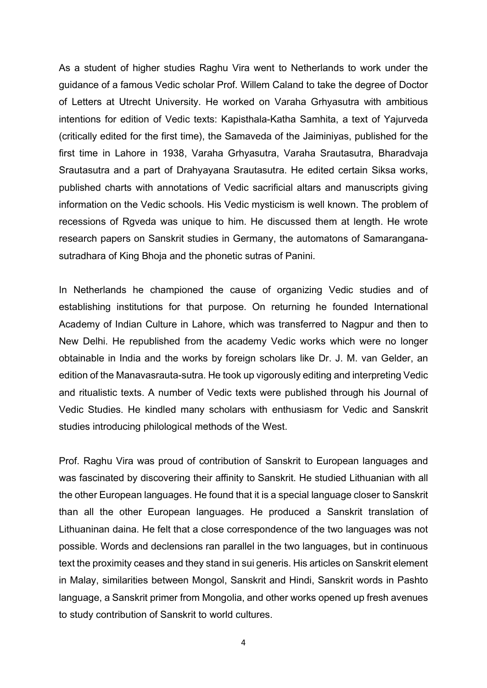As a student of higher studies Raghu Vira went to Netherlands to work under the guidance of a famous Vedic scholar Prof. Willem Caland to take the degree of Doctor of Letters at Utrecht University. He worked on Varaha Grhyasutra with ambitious intentions for edition of Vedic texts: Kapisthala-Katha Samhita, a text of Yajurveda (critically edited for the first time), the Samaveda of the Jaiminiyas, published for the first time in Lahore in 1938, Varaha Grhyasutra, Varaha Srautasutra, Bharadvaja Srautasutra and a part of Drahyayana Srautasutra. He edited certain Siksa works, published charts with annotations of Vedic sacrificial altars and manuscripts giving information on the Vedic schools. His Vedic mysticism is well known. The problem of recessions of Rgveda was unique to him. He discussed them at length. He wrote research papers on Sanskrit studies in Germany, the automatons of Samaranganasutradhara of King Bhoja and the phonetic sutras of Panini.

In Netherlands he championed the cause of organizing Vedic studies and of establishing institutions for that purpose. On returning he founded International Academy of Indian Culture in Lahore, which was transferred to Nagpur and then to New Delhi. He republished from the academy Vedic works which were no longer obtainable in India and the works by foreign scholars like Dr. J. M. van Gelder, an edition of the Manavasrauta-sutra. He took up vigorously editing and interpreting Vedic and ritualistic texts. A number of Vedic texts were published through his Journal of Vedic Studies. He kindled many scholars with enthusiasm for Vedic and Sanskrit studies introducing philological methods of the West.

Prof. Raghu Vira was proud of contribution of Sanskrit to European languages and was fascinated by discovering their affinity to Sanskrit. He studied Lithuanian with all the other European languages. He found that it is a special language closer to Sanskrit than all the other European languages. He produced a Sanskrit translation of Lithuaninan daina. He felt that a close correspondence of the two languages was not possible. Words and declensions ran parallel in the two languages, but in continuous text the proximity ceases and they stand in sui generis. His articles on Sanskrit element in Malay, similarities between Mongol, Sanskrit and Hindi, Sanskrit words in Pashto language, a Sanskrit primer from Mongolia, and other works opened up fresh avenues to study contribution of Sanskrit to world cultures.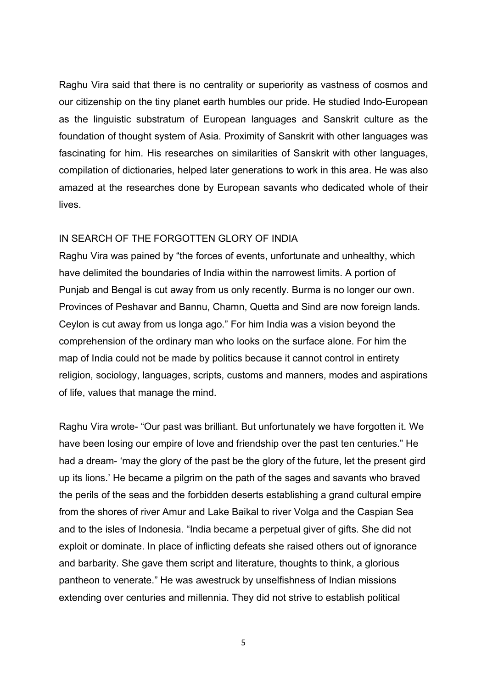Raghu Vira said that there is no centrality or superiority as vastness of cosmos and our citizenship on the tiny planet earth humbles our pride. He studied Indo-European as the linguistic substratum of European languages and Sanskrit culture as the foundation of thought system of Asia. Proximity of Sanskrit with other languages was fascinating for him. His researches on similarities of Sanskrit with other languages, compilation of dictionaries, helped later generations to work in this area. He was also amazed at the researches done by European savants who dedicated whole of their lives.

#### IN SEARCH OF THE FORGOTTEN GLORY OF INDIA

Raghu Vira was pained by "the forces of events, unfortunate and unhealthy, which have delimited the boundaries of India within the narrowest limits. A portion of Punjab and Bengal is cut away from us only recently. Burma is no longer our own. Provinces of Peshavar and Bannu, Chamn, Quetta and Sind are now foreign lands. Ceylon is cut away from us longa ago." For him India was a vision beyond the comprehension of the ordinary man who looks on the surface alone. For him the map of India could not be made by politics because it cannot control in entirety religion, sociology, languages, scripts, customs and manners, modes and aspirations of life, values that manage the mind.

Raghu Vira wrote- "Our past was brilliant. But unfortunately we have forgotten it. We have been losing our empire of love and friendship over the past ten centuries." He had a dream- 'may the glory of the past be the glory of the future, let the present gird up its lions.' He became a pilgrim on the path of the sages and savants who braved the perils of the seas and the forbidden deserts establishing a grand cultural empire from the shores of river Amur and Lake Baikal to river Volga and the Caspian Sea and to the isles of Indonesia. "India became a perpetual giver of gifts. She did not exploit or dominate. In place of inflicting defeats she raised others out of ignorance and barbarity. She gave them script and literature, thoughts to think, a glorious pantheon to venerate." He was awestruck by unselfishness of Indian missions extending over centuries and millennia. They did not strive to establish political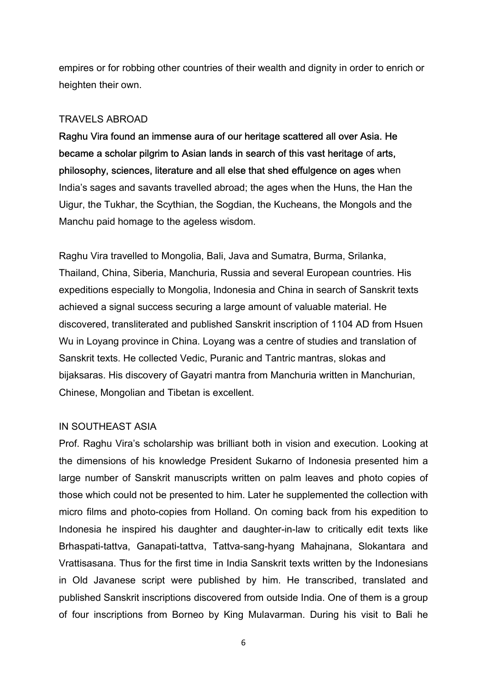empires or for robbing other countries of their wealth and dignity in order to enrich or heighten their own.

# TRAVELS ABROAD

Raghu Vira found an immense aura of our heritage scattered all over Asia. He became a scholar pilgrim to Asian lands in search of this vast heritage of arts, philosophy, sciences, literature and all else that shed effulgence on ages when India's sages and savants travelled abroad; the ages when the Huns, the Han the Uigur, the Tukhar, the Scythian, the Sogdian, the Kucheans, the Mongols and the Manchu paid homage to the ageless wisdom.

Raghu Vira travelled to Mongolia, Bali, Java and Sumatra, Burma, Srilanka, Thailand, China, Siberia, Manchuria, Russia and several European countries. His expeditions especially to Mongolia, Indonesia and China in search of Sanskrit texts achieved a signal success securing a large amount of valuable material. He discovered, transliterated and published Sanskrit inscription of 1104 AD from Hsuen Wu in Loyang province in China. Loyang was a centre of studies and translation of Sanskrit texts. He collected Vedic, Puranic and Tantric mantras, slokas and bijaksaras. His discovery of Gayatri mantra from Manchuria written in Manchurian, Chinese, Mongolian and Tibetan is excellent.

# IN SOUTHEAST ASIA

Prof. Raghu Vira's scholarship was brilliant both in vision and execution. Looking at the dimensions of his knowledge President Sukarno of Indonesia presented him a large number of Sanskrit manuscripts written on palm leaves and photo copies of those which could not be presented to him. Later he supplemented the collection with micro films and photo-copies from Holland. On coming back from his expedition to Indonesia he inspired his daughter and daughter-in-law to critically edit texts like Brhaspati-tattva, Ganapati-tattva, Tattva-sang-hyang Mahajnana, Slokantara and Vrattisasana. Thus for the first time in India Sanskrit texts written by the Indonesians in Old Javanese script were published by him. He transcribed, translated and published Sanskrit inscriptions discovered from outside India. One of them is a group of four inscriptions from Borneo by King Mulavarman. During his visit to Bali he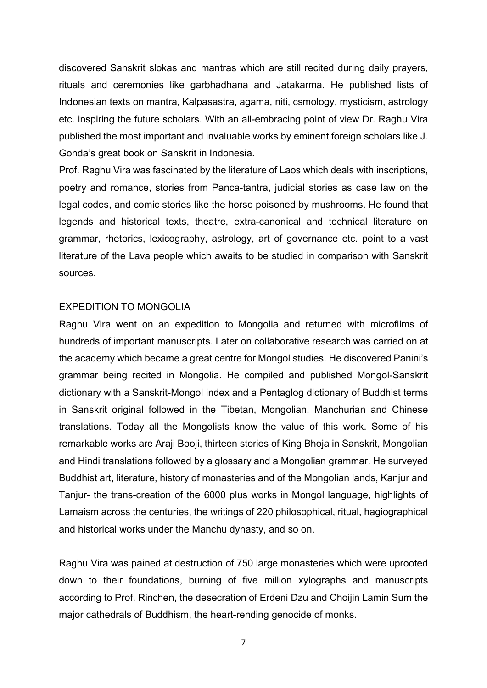discovered Sanskrit slokas and mantras which are still recited during daily prayers, rituals and ceremonies like garbhadhana and Jatakarma. He published lists of Indonesian texts on mantra, Kalpasastra, agama, niti, csmology, mysticism, astrology etc. inspiring the future scholars. With an all-embracing point of view Dr. Raghu Vira published the most important and invaluable works by eminent foreign scholars like J. Gonda's great book on Sanskrit in Indonesia.

Prof. Raghu Vira was fascinated by the literature of Laos which deals with inscriptions, poetry and romance, stories from Panca-tantra, judicial stories as case law on the legal codes, and comic stories like the horse poisoned by mushrooms. He found that legends and historical texts, theatre, extra-canonical and technical literature on grammar, rhetorics, lexicography, astrology, art of governance etc. point to a vast literature of the Lava people which awaits to be studied in comparison with Sanskrit sources.

#### EXPEDITION TO MONGOLIA

Raghu Vira went on an expedition to Mongolia and returned with microfilms of hundreds of important manuscripts. Later on collaborative research was carried on at the academy which became a great centre for Mongol studies. He discovered Panini's grammar being recited in Mongolia. He compiled and published Mongol-Sanskrit dictionary with a Sanskrit-Mongol index and a Pentaglog dictionary of Buddhist terms in Sanskrit original followed in the Tibetan, Mongolian, Manchurian and Chinese translations. Today all the Mongolists know the value of this work. Some of his remarkable works are Araji Booji, thirteen stories of King Bhoja in Sanskrit, Mongolian and Hindi translations followed by a glossary and a Mongolian grammar. He surveyed Buddhist art, literature, history of monasteries and of the Mongolian lands, Kanjur and Tanjur- the trans-creation of the 6000 plus works in Mongol language, highlights of Lamaism across the centuries, the writings of 220 philosophical, ritual, hagiographical and historical works under the Manchu dynasty, and so on.

Raghu Vira was pained at destruction of 750 large monasteries which were uprooted down to their foundations, burning of five million xylographs and manuscripts according to Prof. Rinchen, the desecration of Erdeni Dzu and Choijin Lamin Sum the major cathedrals of Buddhism, the heart-rending genocide of monks.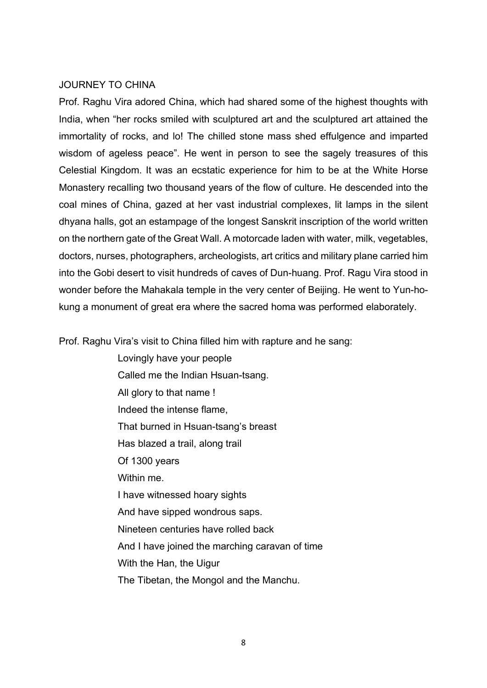#### JOURNEY TO CHINA

Prof. Raghu Vira adored China, which had shared some of the highest thoughts with India, when "her rocks smiled with sculptured art and the sculptured art attained the immortality of rocks, and lo! The chilled stone mass shed effulgence and imparted wisdom of ageless peace". He went in person to see the sagely treasures of this Celestial Kingdom. It was an ecstatic experience for him to be at the White Horse Monastery recalling two thousand years of the flow of culture. He descended into the coal mines of China, gazed at her vast industrial complexes, lit lamps in the silent dhyana halls, got an estampage of the longest Sanskrit inscription of the world written on the northern gate of the Great Wall. A motorcade laden with water, milk, vegetables, doctors, nurses, photographers, archeologists, art critics and military plane carried him into the Gobi desert to visit hundreds of caves of Dun-huang. Prof. Ragu Vira stood in wonder before the Mahakala temple in the very center of Beijing. He went to Yun-hokung a monument of great era where the sacred homa was performed elaborately.

Prof. Raghu Vira's visit to China filled him with rapture and he sang:

 Lovingly have your people Called me the Indian Hsuan-tsang. All glory to that name ! Indeed the intense flame, That burned in Hsuan-tsang's breast Has blazed a trail, along trail Of 1300 years Within me. I have witnessed hoary sights And have sipped wondrous saps. Nineteen centuries have rolled back And I have joined the marching caravan of time With the Han, the Uigur The Tibetan, the Mongol and the Manchu.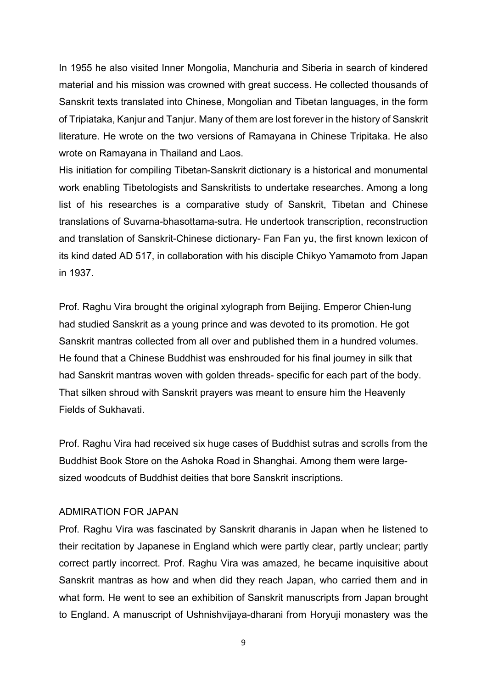In 1955 he also visited Inner Mongolia, Manchuria and Siberia in search of kindered material and his mission was crowned with great success. He collected thousands of Sanskrit texts translated into Chinese, Mongolian and Tibetan languages, in the form of Tripiataka, Kanjur and Tanjur. Many of them are lost forever in the history of Sanskrit literature. He wrote on the two versions of Ramayana in Chinese Tripitaka. He also wrote on Ramayana in Thailand and Laos.

His initiation for compiling Tibetan-Sanskrit dictionary is a historical and monumental work enabling Tibetologists and Sanskritists to undertake researches. Among a long list of his researches is a comparative study of Sanskrit, Tibetan and Chinese translations of Suvarna-bhasottama-sutra. He undertook transcription, reconstruction and translation of Sanskrit-Chinese dictionary- Fan Fan yu, the first known lexicon of its kind dated AD 517, in collaboration with his disciple Chikyo Yamamoto from Japan in 1937.

Prof. Raghu Vira brought the original xylograph from Beijing. Emperor Chien-lung had studied Sanskrit as a young prince and was devoted to its promotion. He got Sanskrit mantras collected from all over and published them in a hundred volumes. He found that a Chinese Buddhist was enshrouded for his final journey in silk that had Sanskrit mantras woven with golden threads- specific for each part of the body. That silken shroud with Sanskrit prayers was meant to ensure him the Heavenly Fields of Sukhavati.

Prof. Raghu Vira had received six huge cases of Buddhist sutras and scrolls from the Buddhist Book Store on the Ashoka Road in Shanghai. Among them were largesized woodcuts of Buddhist deities that bore Sanskrit inscriptions.

#### ADMIRATION FOR JAPAN

Prof. Raghu Vira was fascinated by Sanskrit dharanis in Japan when he listened to their recitation by Japanese in England which were partly clear, partly unclear; partly correct partly incorrect. Prof. Raghu Vira was amazed, he became inquisitive about Sanskrit mantras as how and when did they reach Japan, who carried them and in what form. He went to see an exhibition of Sanskrit manuscripts from Japan brought to England. A manuscript of Ushnishvijaya-dharani from Horyuji monastery was the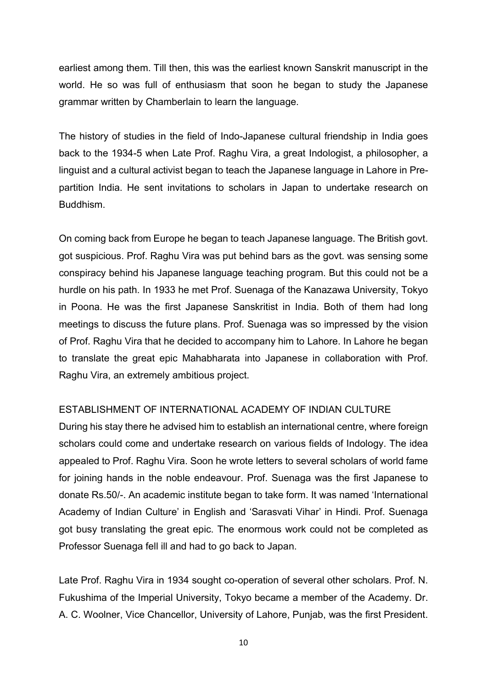earliest among them. Till then, this was the earliest known Sanskrit manuscript in the world. He so was full of enthusiasm that soon he began to study the Japanese grammar written by Chamberlain to learn the language.

The history of studies in the field of Indo-Japanese cultural friendship in India goes back to the 1934-5 when Late Prof. Raghu Vira, a great Indologist, a philosopher, a linguist and a cultural activist began to teach the Japanese language in Lahore in Prepartition India. He sent invitations to scholars in Japan to undertake research on Buddhism.

On coming back from Europe he began to teach Japanese language. The British govt. got suspicious. Prof. Raghu Vira was put behind bars as the govt. was sensing some conspiracy behind his Japanese language teaching program. But this could not be a hurdle on his path. In 1933 he met Prof. Suenaga of the Kanazawa University, Tokyo in Poona. He was the first Japanese Sanskritist in India. Both of them had long meetings to discuss the future plans. Prof. Suenaga was so impressed by the vision of Prof. Raghu Vira that he decided to accompany him to Lahore. In Lahore he began to translate the great epic Mahabharata into Japanese in collaboration with Prof. Raghu Vira, an extremely ambitious project.

# ESTABLISHMENT OF INTERNATIONAL ACADEMY OF INDIAN CULTURE

During his stay there he advised him to establish an international centre, where foreign scholars could come and undertake research on various fields of Indology. The idea appealed to Prof. Raghu Vira. Soon he wrote letters to several scholars of world fame for joining hands in the noble endeavour. Prof. Suenaga was the first Japanese to donate Rs.50/-. An academic institute began to take form. It was named 'International Academy of Indian Culture' in English and 'Sarasvati Vihar' in Hindi. Prof. Suenaga got busy translating the great epic. The enormous work could not be completed as Professor Suenaga fell ill and had to go back to Japan.

Late Prof. Raghu Vira in 1934 sought co-operation of several other scholars. Prof. N. Fukushima of the Imperial University, Tokyo became a member of the Academy. Dr. A. C. Woolner, Vice Chancellor, University of Lahore, Punjab, was the first President.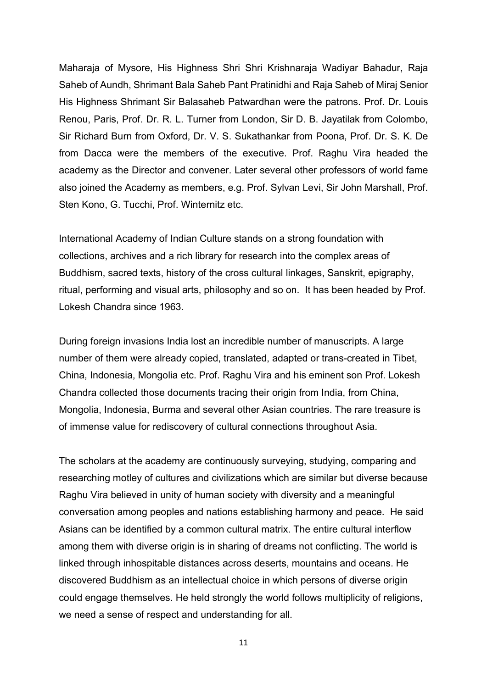Maharaja of Mysore, His Highness Shri Shri Krishnaraja Wadiyar Bahadur, Raja Saheb of Aundh, Shrimant Bala Saheb Pant Pratinidhi and Raja Saheb of Miraj Senior His Highness Shrimant Sir Balasaheb Patwardhan were the patrons. Prof. Dr. Louis Renou, Paris, Prof. Dr. R. L. Turner from London, Sir D. B. Jayatilak from Colombo, Sir Richard Burn from Oxford, Dr. V. S. Sukathankar from Poona, Prof. Dr. S. K. De from Dacca were the members of the executive. Prof. Raghu Vira headed the academy as the Director and convener. Later several other professors of world fame also joined the Academy as members, e.g. Prof. Sylvan Levi, Sir John Marshall, Prof. Sten Kono, G. Tucchi, Prof. Winternitz etc.

International Academy of Indian Culture stands on a strong foundation with collections, archives and a rich library for research into the complex areas of Buddhism, sacred texts, history of the cross cultural linkages, Sanskrit, epigraphy, ritual, performing and visual arts, philosophy and so on. It has been headed by Prof. Lokesh Chandra since 1963.

During foreign invasions India lost an incredible number of manuscripts. A large number of them were already copied, translated, adapted or trans-created in Tibet, China, Indonesia, Mongolia etc. Prof. Raghu Vira and his eminent son Prof. Lokesh Chandra collected those documents tracing their origin from India, from China, Mongolia, Indonesia, Burma and several other Asian countries. The rare treasure is of immense value for rediscovery of cultural connections throughout Asia.

The scholars at the academy are continuously surveying, studying, comparing and researching motley of cultures and civilizations which are similar but diverse because Raghu Vira believed in unity of human society with diversity and a meaningful conversation among peoples and nations establishing harmony and peace. He said Asians can be identified by a common cultural matrix. The entire cultural interflow among them with diverse origin is in sharing of dreams not conflicting. The world is linked through inhospitable distances across deserts, mountains and oceans. He discovered Buddhism as an intellectual choice in which persons of diverse origin could engage themselves. He held strongly the world follows multiplicity of religions, we need a sense of respect and understanding for all.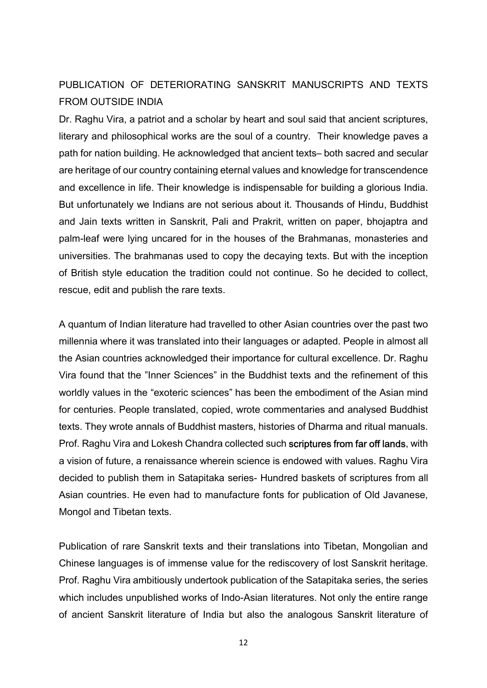# PUBLICATION OF DETERIORATING SANSKRIT MANUSCRIPTS AND TEXTS FROM OUTSIDE INDIA

Dr. Raghu Vira, a patriot and a scholar by heart and soul said that ancient scriptures, literary and philosophical works are the soul of a country. Their knowledge paves a path for nation building. He acknowledged that ancient texts– both sacred and secular are heritage of our country containing eternal values and knowledge for transcendence and excellence in life. Their knowledge is indispensable for building a glorious India. But unfortunately we Indians are not serious about it. Thousands of Hindu, Buddhist and Jain texts written in Sanskrit, Pali and Prakrit, written on paper, bhojaptra and palm-leaf were lying uncared for in the houses of the Brahmanas, monasteries and universities. The brahmanas used to copy the decaying texts. But with the inception of British style education the tradition could not continue. So he decided to collect, rescue, edit and publish the rare texts.

A quantum of Indian literature had travelled to other Asian countries over the past two millennia where it was translated into their languages or adapted. People in almost all the Asian countries acknowledged their importance for cultural excellence. Dr. Raghu Vira found that the "Inner Sciences" in the Buddhist texts and the refinement of this worldly values in the "exoteric sciences" has been the embodiment of the Asian mind for centuries. People translated, copied, wrote commentaries and analysed Buddhist texts. They wrote annals of Buddhist masters, histories of Dharma and ritual manuals. Prof. Raghu Vira and Lokesh Chandra collected such scriptures from far off lands, with a vision of future, a renaissance wherein science is endowed with values. Raghu Vira decided to publish them in Satapitaka series- Hundred baskets of scriptures from all Asian countries. He even had to manufacture fonts for publication of Old Javanese, Mongol and Tibetan texts.

Publication of rare Sanskrit texts and their translations into Tibetan, Mongolian and Chinese languages is of immense value for the rediscovery of lost Sanskrit heritage. Prof. Raghu Vira ambitiously undertook publication of the Satapitaka series, the series which includes unpublished works of Indo-Asian literatures. Not only the entire range of ancient Sanskrit literature of India but also the analogous Sanskrit literature of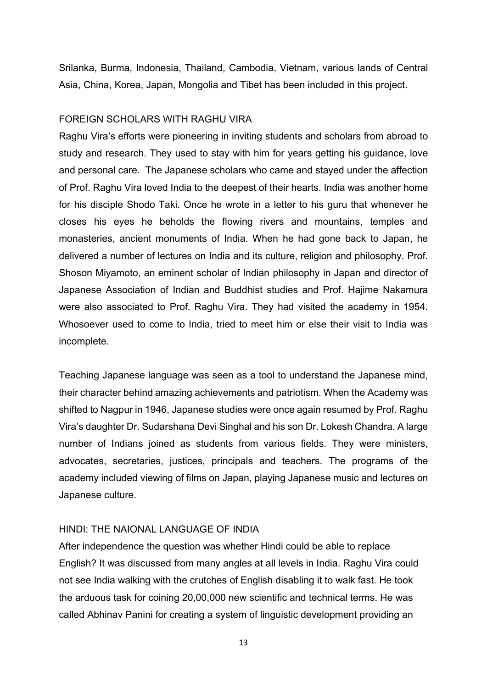Srilanka, Burma, Indonesia, Thailand, Cambodia, Vietnam, various lands of Central Asia, China, Korea, Japan, Mongolia and Tibet has been included in this project.

#### FOREIGN SCHOLARS WITH RAGHU VIRA

Raghu Vira's efforts were pioneering in inviting students and scholars from abroad to study and research. They used to stay with him for years getting his guidance, love and personal care. The Japanese scholars who came and stayed under the affection of Prof. Raghu Vira loved India to the deepest of their hearts. India was another home for his disciple Shodo Taki. Once he wrote in a letter to his guru that whenever he closes his eyes he beholds the flowing rivers and mountains, temples and monasteries, ancient monuments of India. When he had gone back to Japan, he delivered a number of lectures on India and its culture, religion and philosophy. Prof. Shoson Miyamoto, an eminent scholar of Indian philosophy in Japan and director of Japanese Association of Indian and Buddhist studies and Prof. Hajime Nakamura were also associated to Prof. Raghu Vira. They had visited the academy in 1954. Whosoever used to come to India, tried to meet him or else their visit to India was incomplete.

Teaching Japanese language was seen as a tool to understand the Japanese mind, their character behind amazing achievements and patriotism. When the Academy was shifted to Nagpur in 1946, Japanese studies were once again resumed by Prof. Raghu Vira's daughter Dr. Sudarshana Devi Singhal and his son Dr. Lokesh Chandra. A large number of Indians joined as students from various fields. They were ministers, advocates, secretaries, justices, principals and teachers. The programs of the academy included viewing of films on Japan, playing Japanese music and lectures on Japanese culture.

#### HINDI: THE NAIONAL LANGUAGE OF INDIA

After independence the question was whether Hindi could be able to replace English? It was discussed from many angles at all levels in India. Raghu Vira could not see India walking with the crutches of English disabling it to walk fast. He took the arduous task for coining 20,00,000 new scientific and technical terms. He was called Abhinav Panini for creating a system of linguistic development providing an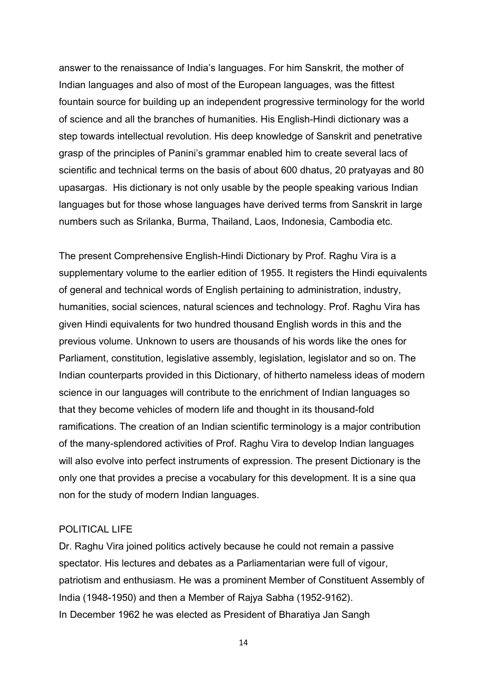answer to the renaissance of India's languages. For him Sanskrit, the mother of Indian languages and also of most of the European languages, was the fittest fountain source for building up an independent progressive terminology for the world of science and all the branches of humanities. His English-Hindi dictionary was a step towards intellectual revolution. His deep knowledge of Sanskrit and penetrative grasp of the principles of Panini's grammar enabled him to create several lacs of scientific and technical terms on the basis of about 600 dhatus, 20 pratyayas and 80 upasargas. His dictionary is not only usable by the people speaking various Indian languages but for those whose languages have derived terms from Sanskrit in large numbers such as Srilanka, Burma, Thailand, Laos, Indonesia, Cambodia etc.

The present Comprehensive English-Hindi Dictionary by Prof. Raghu Vira is a supplementary volume to the earlier edition of 1955. It registers the Hindi equivalents of general and technical words of English pertaining to administration, industry, humanities, social sciences, natural sciences and technology. Prof. Raghu Vira has given Hindi equivalents for two hundred thousand English words in this and the previous volume. Unknown to users are thousands of his words like the ones for Parliament, constitution, legislative assembly, legislation, legislator and so on. The Indian counterparts provided in this Dictionary, of hitherto nameless ideas of modern science in our languages will contribute to the enrichment of Indian languages so that they become vehicles of modern life and thought in its thousand-fold ramifications. The creation of an Indian scientific terminology is a major contribution of the many-splendored activities of Prof. Raghu Vira to develop Indian languages will also evolve into perfect instruments of expression. The present Dictionary is the only one that provides a precise a vocabulary for this development. It is a sine qua non for the study of modern Indian languages.

#### POLITICAL LIFE

Dr. Raghu Vira joined politics actively because he could not remain a passive spectator. His lectures and debates as a Parliamentarian were full of vigour, patriotism and enthusiasm. He was a prominent Member of Constituent Assembly of India (1948-1950) and then a Member of Rajya Sabha (1952-9162). In December 1962 he was elected as President of Bharatiya Jan Sangh